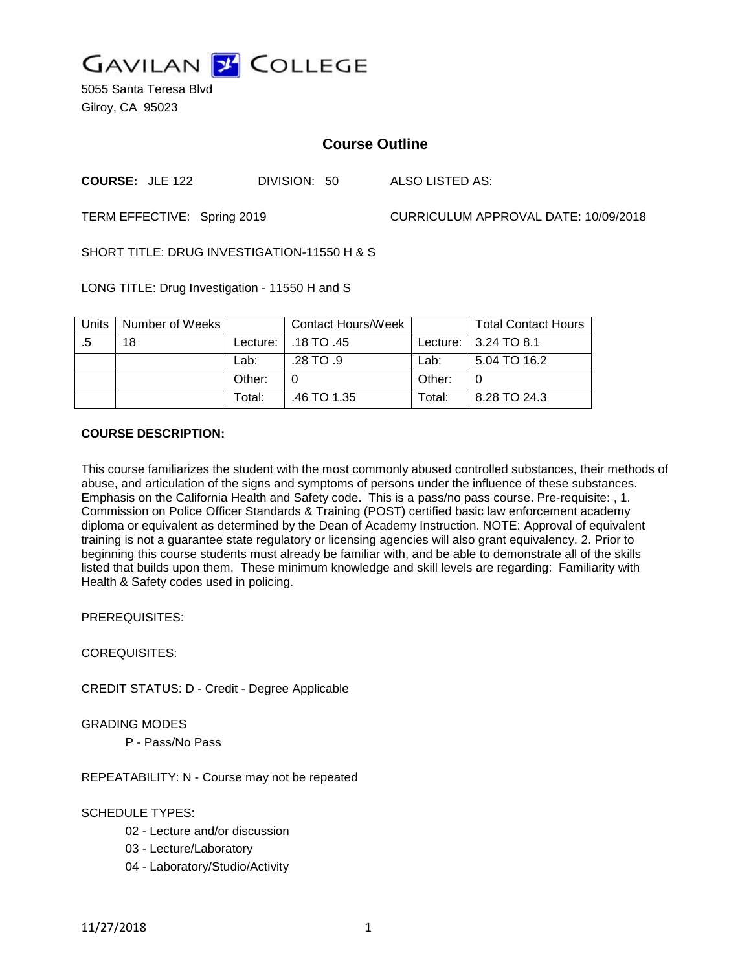

5055 Santa Teresa Blvd Gilroy, CA 95023

# **Course Outline**

**COURSE:** JLE 122 DIVISION: 50 ALSO LISTED AS:

TERM EFFECTIVE: Spring 2019 CURRICULUM APPROVAL DATE: 10/09/2018

SHORT TITLE: DRUG INVESTIGATION-11550 H & S

LONG TITLE: Drug Investigation - 11550 H and S

| Units | Number of Weeks |        | Contact Hours/Week    |        | <b>Total Contact Hours</b> |
|-------|-----------------|--------|-----------------------|--------|----------------------------|
| .5    | 18              |        | Lecture:   .18 TO .45 |        | Lecture: 3.24 TO 8.1       |
|       |                 | Lab:   | .28 TO .9             | Lab:   | 5.04 TO 16.2               |
|       |                 | Other: |                       | Other: |                            |
|       |                 | Total: | .46 TO 1.35           | Total: | 8.28 TO 24.3               |

#### **COURSE DESCRIPTION:**

This course familiarizes the student with the most commonly abused controlled substances, their methods of abuse, and articulation of the signs and symptoms of persons under the influence of these substances. Emphasis on the California Health and Safety code. This is a pass/no pass course. Pre-requisite: , 1. Commission on Police Officer Standards & Training (POST) certified basic law enforcement academy diploma or equivalent as determined by the Dean of Academy Instruction. NOTE: Approval of equivalent training is not a guarantee state regulatory or licensing agencies will also grant equivalency. 2. Prior to beginning this course students must already be familiar with, and be able to demonstrate all of the skills listed that builds upon them. These minimum knowledge and skill levels are regarding: Familiarity with Health & Safety codes used in policing.

PREREQUISITES:

COREQUISITES:

CREDIT STATUS: D - Credit - Degree Applicable

GRADING MODES

P - Pass/No Pass

REPEATABILITY: N - Course may not be repeated

#### SCHEDULE TYPES:

- 02 Lecture and/or discussion
- 03 Lecture/Laboratory
- 04 Laboratory/Studio/Activity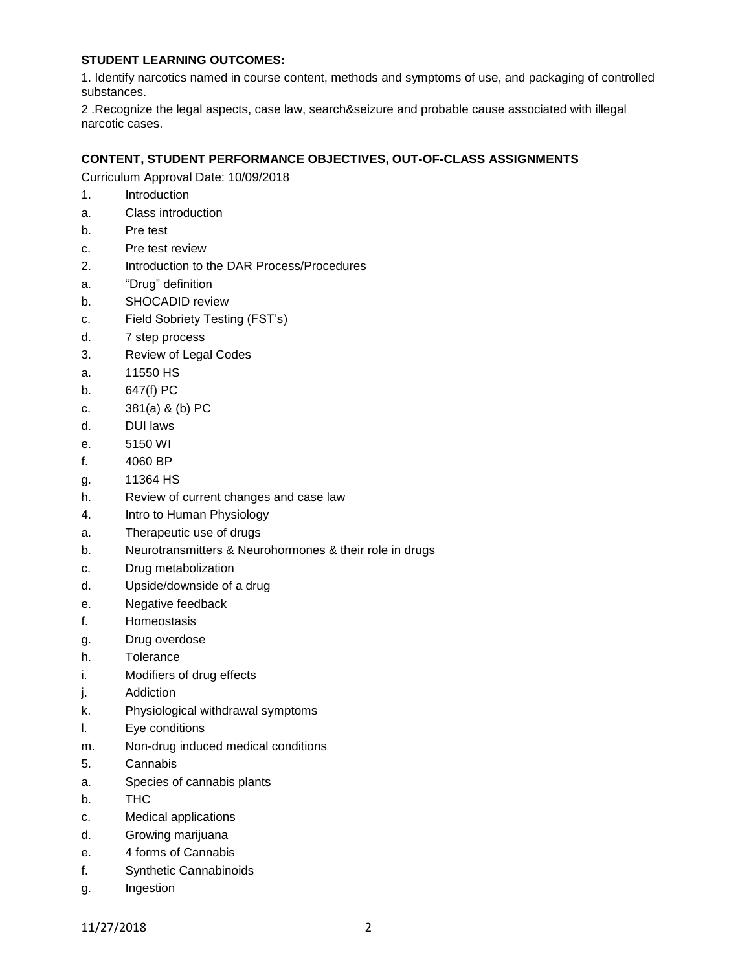## **STUDENT LEARNING OUTCOMES:**

1. Identify narcotics named in course content, methods and symptoms of use, and packaging of controlled substances.

2 .Recognize the legal aspects, case law, search&seizure and probable cause associated with illegal narcotic cases.

## **CONTENT, STUDENT PERFORMANCE OBJECTIVES, OUT-OF-CLASS ASSIGNMENTS**

Curriculum Approval Date: 10/09/2018

- 1. Introduction
- a. Class introduction
- b. Pre test
- c. Pre test review
- 2. Introduction to the DAR Process/Procedures
- a. "Drug" definition
- b. SHOCADID review
- c. Field Sobriety Testing (FST's)
- d. 7 step process
- 3. Review of Legal Codes
- a. 11550 HS
- b. 647(f) PC
- c. 381(a) & (b) PC
- d. DUI laws
- e. 5150 WI
- f. 4060 BP
- g. 11364 HS
- h. Review of current changes and case law
- 4. Intro to Human Physiology
- a. Therapeutic use of drugs
- b. Neurotransmitters & Neurohormones & their role in drugs
- c. Drug metabolization
- d. Upside/downside of a drug
- e. Negative feedback
- f. Homeostasis
- g. Drug overdose
- h. Tolerance
- i. Modifiers of drug effects
- j. Addiction
- k. Physiological withdrawal symptoms
- l. Eye conditions
- m. Non-drug induced medical conditions
- 5. Cannabis
- a. Species of cannabis plants
- b. THC
- c. Medical applications
- d. Growing marijuana
- e. 4 forms of Cannabis
- f. Synthetic Cannabinoids
- g. Ingestion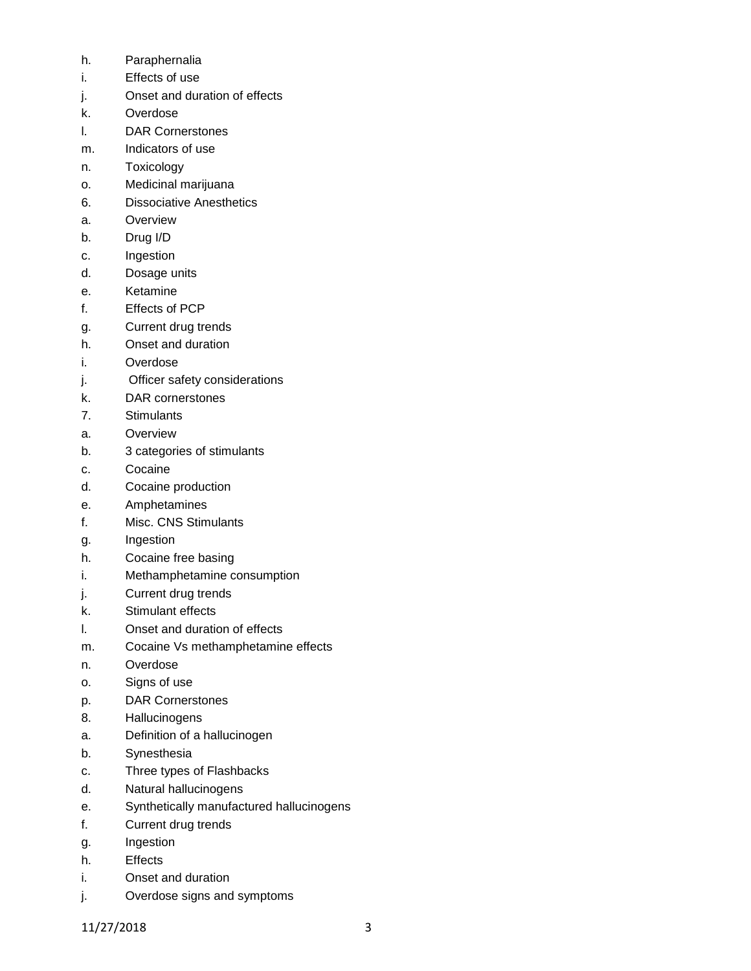- h. Paraphernalia
- i. Effects of use
- j. Onset and duration of effects
- k. Overdose
- l. DAR Cornerstones
- m. Indicators of use
- n. Toxicology
- o. Medicinal marijuana
- 6. Dissociative Anesthetics
- a. Overview
- b. Drug I/D
- c. Ingestion
- d. Dosage units
- e. Ketamine
- f. Effects of PCP
- g. Current drug trends
- h. Onset and duration
- i. Overdose
- j. Officer safety considerations
- k. DAR cornerstones
- 7. Stimulants
- a. Overview
- b. 3 categories of stimulants
- c. Cocaine
- d. Cocaine production
- e. Amphetamines
- f. Misc. CNS Stimulants
- g. Ingestion
- h. Cocaine free basing
- i. Methamphetamine consumption
- j. Current drug trends
- k. Stimulant effects
- l. Onset and duration of effects
- m. Cocaine Vs methamphetamine effects
- n. Overdose
- o. Signs of use
- p. DAR Cornerstones
- 8. Hallucinogens
- a. Definition of a hallucinogen
- b. Synesthesia
- c. Three types of Flashbacks
- d. Natural hallucinogens
- e. Synthetically manufactured hallucinogens
- f. Current drug trends
- g. Ingestion
- h. Effects
- i. Onset and duration
- j. Overdose signs and symptoms

11/27/2018 3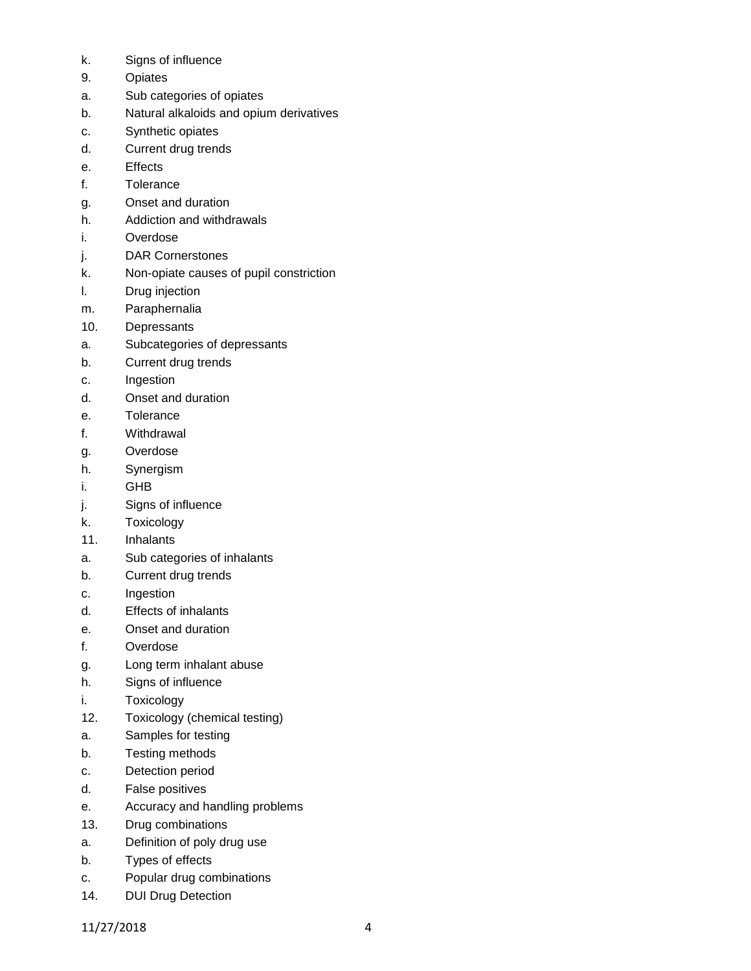- k. Signs of influence
- 9. Opiates
- a. Sub categories of opiates
- b. Natural alkaloids and opium derivatives
- c. Synthetic opiates
- d. Current drug trends
- e. Effects
- f. Tolerance
- g. Onset and duration
- h. Addiction and withdrawals
- i. Overdose
- j. DAR Cornerstones
- k. Non-opiate causes of pupil constriction
- l. Drug injection
- m. Paraphernalia
- 10. Depressants
- a. Subcategories of depressants
- b. Current drug trends
- c. Ingestion
- d. Onset and duration
- e. Tolerance
- f. Withdrawal
- g. Overdose
- h. Synergism
- i. GHB
- j. Signs of influence
- k. Toxicology
- 11. Inhalants
- a. Sub categories of inhalants
- b. Current drug trends
- c. Ingestion
- d. Effects of inhalants
- e. Onset and duration
- f. Overdose
- g. Long term inhalant abuse
- h. Signs of influence
- i. Toxicology
- 12. Toxicology (chemical testing)
- a. Samples for testing
- b. Testing methods
- c. Detection period
- d. False positives
- e. Accuracy and handling problems
- 13. Drug combinations
- a. Definition of poly drug use
- b. Types of effects
- c. Popular drug combinations
- 14. DUI Drug Detection

11/27/2018 4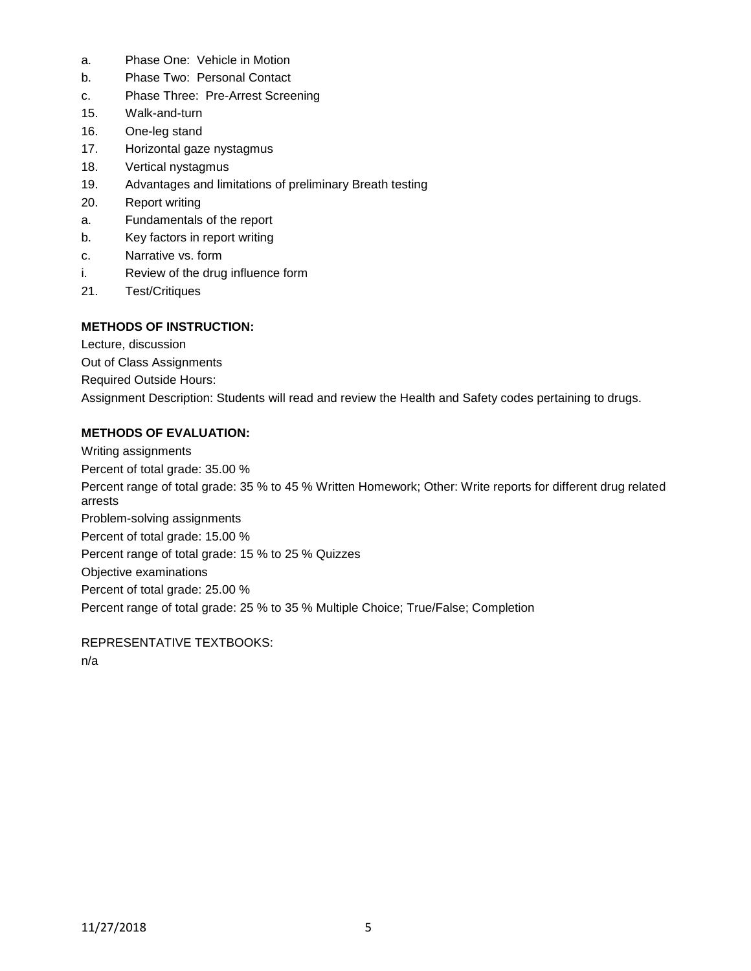- a. Phase One: Vehicle in Motion
- b. Phase Two: Personal Contact
- c. Phase Three: Pre-Arrest Screening
- 15. Walk-and-turn
- 16. One-leg stand
- 17. Horizontal gaze nystagmus
- 18. Vertical nystagmus
- 19. Advantages and limitations of preliminary Breath testing
- 20. Report writing
- a. Fundamentals of the report
- b. Key factors in report writing
- c. Narrative vs. form
- i. Review of the drug influence form
- 21. Test/Critiques

## **METHODS OF INSTRUCTION:**

Lecture, discussion

Out of Class Assignments

Required Outside Hours:

Assignment Description: Students will read and review the Health and Safety codes pertaining to drugs.

#### **METHODS OF EVALUATION:**

Writing assignments Percent of total grade: 35.00 % Percent range of total grade: 35 % to 45 % Written Homework; Other: Write reports for different drug related arrests Problem-solving assignments Percent of total grade: 15.00 % Percent range of total grade: 15 % to 25 % Quizzes Objective examinations Percent of total grade: 25.00 % Percent range of total grade: 25 % to 35 % Multiple Choice; True/False; Completion

REPRESENTATIVE TEXTBOOKS: n/a